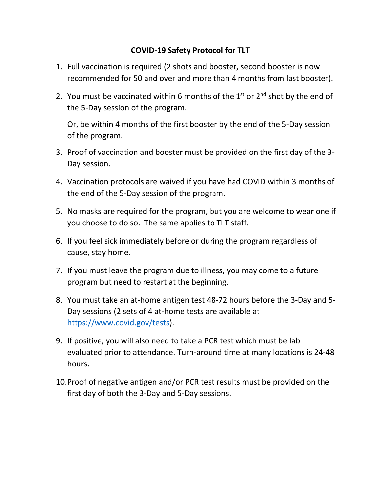## **COVID-19 Safety Protocol for TLT**

- 1. Full vaccination is required (2 shots and booster, second booster is now recommended for 50 and over and more than 4 months from last booster).
- 2. You must be vaccinated within 6 months of the  $1<sup>st</sup>$  or  $2<sup>nd</sup>$  shot by the end of the 5-Day session of the program.

Or, be within 4 months of the first booster by the end of the 5-Day session of the program.

- 3. Proof of vaccination and booster must be provided on the first day of the 3- Day session.
- 4. Vaccination protocols are waived if you have had COVID within 3 months of the end of the 5-Day session of the program.
- 5. No masks are required for the program, but you are welcome to wear one if you choose to do so. The same applies to TLT staff.
- 6. If you feel sick immediately before or during the program regardless of cause, stay home.
- 7. If you must leave the program due to illness, you may come to a future program but need to restart at the beginning.
- 8. You must take an at-home antigen test 48-72 hours before the 3-Day and 5- Day sessions (2 sets of 4 at-home tests are available at [https://www.covid.gov/tests\)](https://www.covid.gov/tests).
- 9. If positive, you will also need to take a PCR test which must be lab evaluated prior to attendance. Turn-around time at many locations is 24-48 hours.
- 10.Proof of negative antigen and/or PCR test results must be provided on the first day of both the 3-Day and 5-Day sessions.